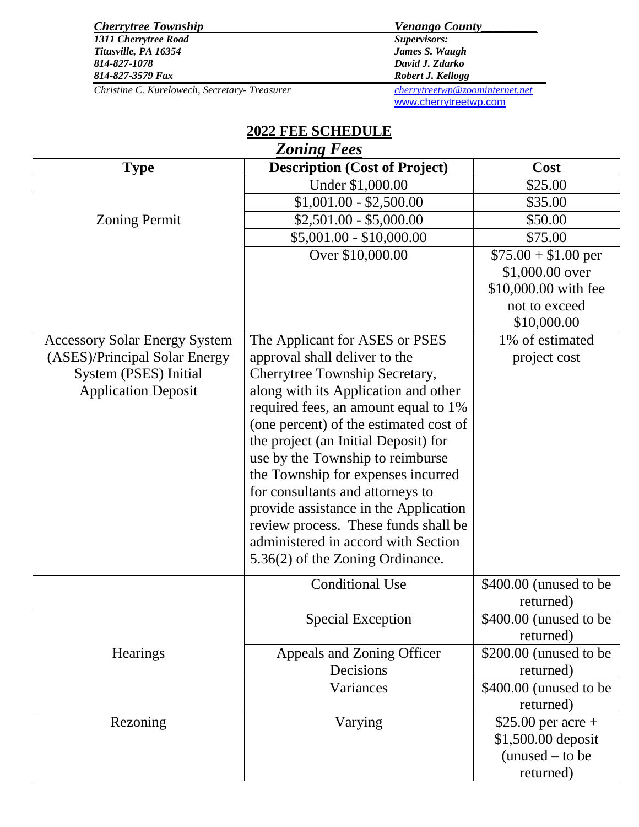| <b>Cherrytree Township</b>                    | <b>Venango County</b>              |
|-----------------------------------------------|------------------------------------|
| 1311 Cherrytree Road                          | <i>Supervisors:</i>                |
| Titusville, PA 16354                          | James S. Waugh                     |
| 814-827-1078                                  | David J. Zdarko                    |
| 814-827-3579 Fax                              | Robert J. Kellogg                  |
| Christine C. Kurelowech, Secretary- Treasurer | cherrv tree two @ zoominternet.net |

[www.cherrytreetwp.com](http://www.cherrytreetwp.com/)

| <b>2022 FEE SCHEDULE</b> |                                      |                 |  |  |  |
|--------------------------|--------------------------------------|-----------------|--|--|--|
| <b>Zoning Fees</b>       |                                      |                 |  |  |  |
| <b>Type</b>              | <b>Description (Cost of Project)</b> | <b>Cost</b>     |  |  |  |
|                          | Under \$1,000.00                     | \$25.00         |  |  |  |
|                          | $$1,001.00 - $2,500.00$              | \$35.00         |  |  |  |
| ing Permit               | $$2,501.00 - $5,000.00$              | \$50.00         |  |  |  |
|                          | $$5,001.00 - $10,000.00$             | \$75.00         |  |  |  |
|                          | Over \$10,000.00                     | $$75.00 + $1.0$ |  |  |  |
|                          |                                      | $$1,000.00$ c   |  |  |  |
|                          |                                      | 0.10,000,00     |  |  |  |

| <b>Zoning Permit</b>                 | $$2,501.00 - $5,000.00$                | \$50.00                |
|--------------------------------------|----------------------------------------|------------------------|
|                                      | $$5,001.00 - $10,000.00$               | \$75.00                |
|                                      | Over \$10,000.00                       | $$75.00 + $1.00$ per   |
|                                      |                                        | \$1,000.00 over        |
|                                      |                                        | \$10,000.00 with fee   |
|                                      |                                        | not to exceed          |
|                                      |                                        | \$10,000.00            |
| <b>Accessory Solar Energy System</b> | The Applicant for ASES or PSES         | 1% of estimated        |
| (ASES)/Principal Solar Energy        | approval shall deliver to the          | project cost           |
| System (PSES) Initial                | Cherrytree Township Secretary,         |                        |
| <b>Application Deposit</b>           | along with its Application and other   |                        |
|                                      | required fees, an amount equal to 1%   |                        |
|                                      | (one percent) of the estimated cost of |                        |
|                                      | the project (an Initial Deposit) for   |                        |
|                                      | use by the Township to reimburse       |                        |
|                                      | the Township for expenses incurred     |                        |
|                                      | for consultants and attorneys to       |                        |
|                                      | provide assistance in the Application  |                        |
|                                      | review process. These funds shall be   |                        |
|                                      | administered in accord with Section    |                        |
|                                      | 5.36(2) of the Zoning Ordinance.       |                        |
|                                      | <b>Conditional Use</b>                 | \$400.00 (unused to be |
|                                      |                                        | returned)              |
|                                      | <b>Special Exception</b>               | \$400.00 (unused to be |
|                                      |                                        | returned)              |
| <b>Hearings</b>                      | Appeals and Zoning Officer             | \$200.00 (unused to be |
|                                      | Decisions                              | returned)              |
|                                      | Variances                              | \$400.00 (unused to be |
|                                      |                                        | returned)              |
| Rezoning                             | Varying                                | $$25.00$ per acre +    |
|                                      |                                        | \$1,500.00 deposit     |
|                                      |                                        | $(unused - to be$      |
|                                      |                                        | returned)              |